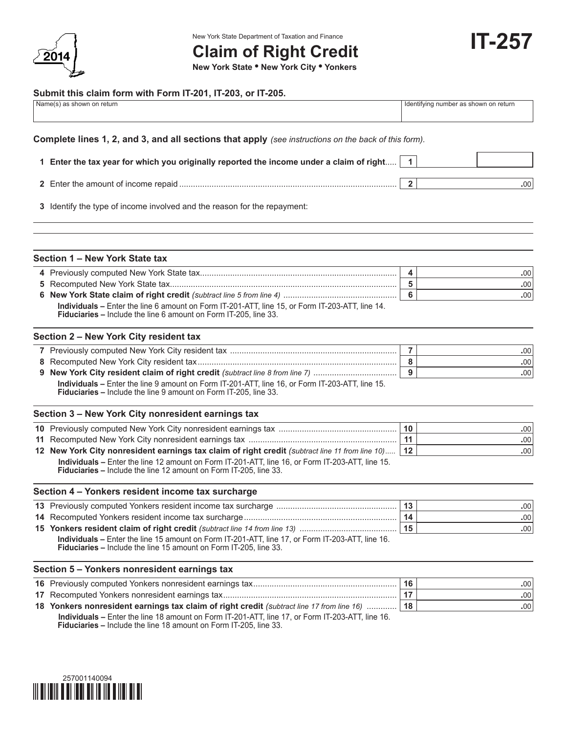

New York State Department of Taxation and Finance

**IT-257**

# **Claim of Right Credit**

**New York State • New York City • Yonkers**

#### **Submit this claim form with Form IT-201, IT-203, or IT-205.**

|  | Name(s) as shown on return                                                                                                                                            | Identifying number as shown on return |
|--|-----------------------------------------------------------------------------------------------------------------------------------------------------------------------|---------------------------------------|
|  | Complete lines 1, 2, and 3, and all sections that apply (see instructions on the back of this form).                                                                  |                                       |
|  | 1 Enter the tax year for which you originally reported the income under a claim of right                                                                              | $\mathbf{1}$                          |
|  |                                                                                                                                                                       | $\overline{2}$<br>.00                 |
|  | 3 Identify the type of income involved and the reason for the repayment:                                                                                              |                                       |
|  | Section 1 - New York State tax                                                                                                                                        |                                       |
|  |                                                                                                                                                                       | 4<br>.00                              |
|  |                                                                                                                                                                       | 5<br>.00                              |
|  |                                                                                                                                                                       | 6<br>.00                              |
|  | Individuals - Enter the line 6 amount on Form IT-201-ATT, line 15, or Form IT-203-ATT, line 14.<br>Fiduciaries - Include the line 6 amount on Form IT-205, line 33.   |                                       |
|  | Section 2 - New York City resident tax                                                                                                                                |                                       |
|  |                                                                                                                                                                       | $\overline{7}$<br>.00                 |
|  |                                                                                                                                                                       | 8<br>.00                              |
|  | 9 New York City resident claim of right credit (subtract line 8 from line 7)                                                                                          | 9<br>.00                              |
|  | Individuals - Enter the line 9 amount on Form IT-201-ATT, line 16, or Form IT-203-ATT, line 15.<br>Fiduciaries - Include the line 9 amount on Form IT-205, line 33.   |                                       |
|  | Section 3 - New York City nonresident earnings tax                                                                                                                    |                                       |
|  |                                                                                                                                                                       | 10<br>.00                             |
|  |                                                                                                                                                                       | 11<br>.00                             |
|  | 12 New York City nonresident earnings tax claim of right credit (subtract line 11 from line 10)                                                                       | 12<br>.00                             |
|  | Individuals - Enter the line 12 amount on Form IT-201-ATT, line 16, or Form IT-203-ATT, line 15.<br>Fiduciaries - Include the line 12 amount on Form IT-205, line 33. |                                       |
|  | Section 4 - Yonkers resident income tax surcharge                                                                                                                     |                                       |
|  |                                                                                                                                                                       | 13<br>.00                             |
|  |                                                                                                                                                                       | .00.<br>14                            |
|  |                                                                                                                                                                       | 15<br>.00                             |
|  | Individuals - Enter the line 15 amount on Form IT-201-ATT, line 17, or Form IT-203-ATT, line 16.<br>Fiduciaries - Include the line 15 amount on Form IT-205, line 33. |                                       |
|  | Section 5 - Yonkers nonresident earnings tax                                                                                                                          |                                       |
|  |                                                                                                                                                                       | 16<br>.00                             |
|  |                                                                                                                                                                       | 17<br>.00                             |
|  | 18 Yonkers nonresident earnings tax claim of right credit (subtract line 17 from line 16)                                                                             | 18<br>.00                             |

 **Individuals –** Enter the line 18 amount on Form IT-201-ATT, line 17, or Form IT-203-ATT, line 16.  **Fiduciaries –** Include the line 18 amount on Form IT-205, line 33.